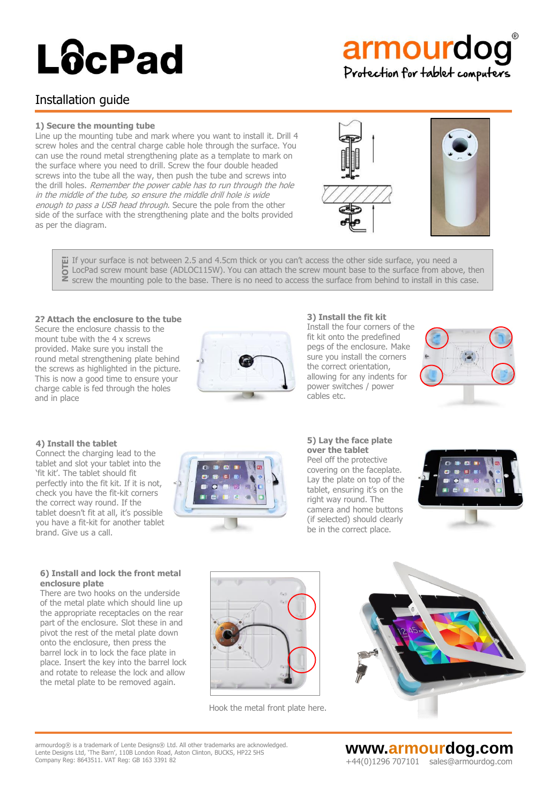# armourdog Protection for tablet computers

## Installation guide

### **1) Secure the mounting tube**

Line up the mounting tube and mark where you want to install it. Drill 4 screw holes and the central charge cable hole through the surface. You can use the round metal strengthening plate as a template to mark on the surface where you need to drill. Screw the four double headed screws into the tube all the way, then push the tube and screws into the drill holes. Remember the power cable has to run through the hole in the middle of the tube, so ensure the middle drill hole is wide enough to pass a USB head through. Secure the pole from the other side of the surface with the strengthening plate and the bolts provided as per the diagram.



If your surface is not between 2.5 and 4.5cm thick or you can't access the other side surface, you need a **ü**l If your surface is not between 2.5 and 4.5cm thick or you can't access the other side surface, you need a<br>● LocPad screw mount base (ADLOC115W). You can attach the screw mount base to the surface from above, then<br>■ s

### **2? Attach the enclosure to the tube**

Secure the enclosure chassis to the mount tube with the 4 x screws provided. Make sure you install the round metal strengthening plate behind the screws as highlighted in the picture. This is now a good time to ensure your charge cable is fed through the holes and in place



#### **3) Install the fit kit**

Install the four corners of the fit kit onto the predefined pegs of the enclosure. Make sure you install the corners the correct orientation, allowing for any indents for power switches / power cables etc.



### **4) Install the tablet**

**enclosure plate**

Connect the charging lead to the tablet and slot your tablet into the 'fit kit'. The tablet should fit perfectly into the fit kit. If it is not, check you have the fit-kit corners the correct way round. If the tablet doesn't fit at all, it's possible you have a fit-kit for another tablet brand. Give us a call.

**6) Install and lock the front metal** 

There are two hooks on the underside of the metal plate which should line up the appropriate receptacles on the rear part of the enclosure. Slot these in and pivot the rest of the metal plate down onto the enclosure, then press the barrel lock in to lock the face plate in place. Insert the key into the barrel lock and rotate to release the lock and allow the metal plate to be removed again.

#### **5) Lay the face plate over the tablet**

Peel off the protective covering on the faceplate. Lay the plate on top of the tablet, ensuring it's on the right way round. The camera and home buttons (if selected) should clearly be in the correct place.





Hook the metal front plate here.



armourdog® is a trademark of Lente Designs® Ltd. All other trademarks are acknowledged. armourdog@ is a trademark of Lente Designs@ Ltd. All other trademarks are acknowledged.<br>Lente Designs Ltd, 'The Barn', 110B London Road, Aston Clinton, BUCKS, HP22 5HS <br>Company Reg: 8643511. V

Company Reg: 8643511. VAT Reg: GB 163 3391 82 +44(0)1296 707101 sales@armourdog.com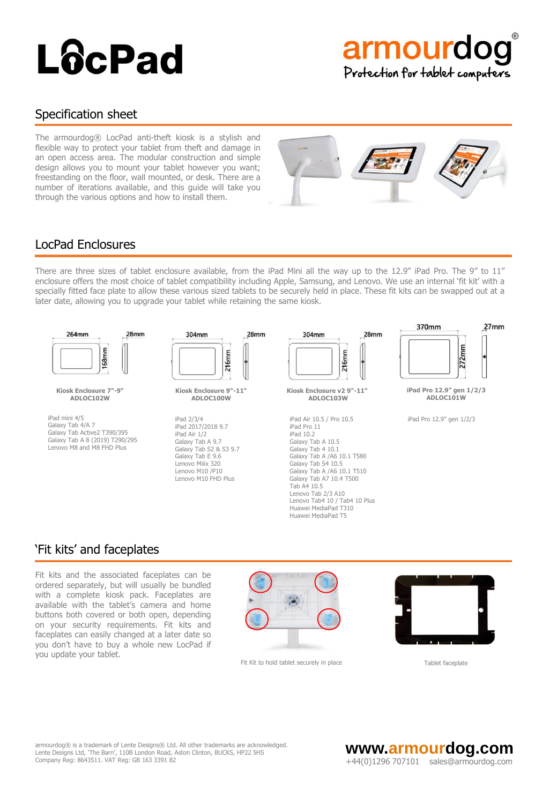

### Specification sheet

The armourdog® LocPad anti-theft kiosk is a stylish and flexible way to protect your tablet from theft and damage in an open access area. The modular construction and simple design allows you to mount your tablet however you want; freestanding on the floor, wall mounted, or desk. There are a number of iterations available, and this guide will take you through the various options and how to install them.



## LocPad Enclosures

There are three sizes of tablet enclosure available, from the iPad Mini all the way up to the 12.9" iPad Pro. The 9" to 11" enclosure offers the most choice of tablet compatibility including Apple, Samsung, and Lenovo. We use an internal 'fit kit' with a specially fitted face plate to allow these various sized tablets to be securely held in place. These fit kits can be swapped out at a later date, allowing you to upgrade your tablet while retaining the same kiosk.



## 'Fit kits' and faceplates

Fit kits and the associated faceplates can be ordered separately, but will usually be bundled with a complete kiosk pack. Faceplates are available with the tablet's camera and home buttons both covered or both open, depending on your security requirements. Fit kits and faceplates can easily changed at a later date so you don't have to buy a whole new LocPad if you update your tablet.



Fit Kit to hold tablet securely in place Tablet faceplate



armourdog® is a trademark of Lente Designs® Ltd. All other trademarks are acknowledged. armourdog@ is a trademark of Lente Designs® Ltd. All other trademarks are acknowledged.<br>Lente Designs Ltd, 'The Barn', 110B London Road, Aston Clinton, BUCKS, HP22 5HS <br>Company Reg: 8643511. V

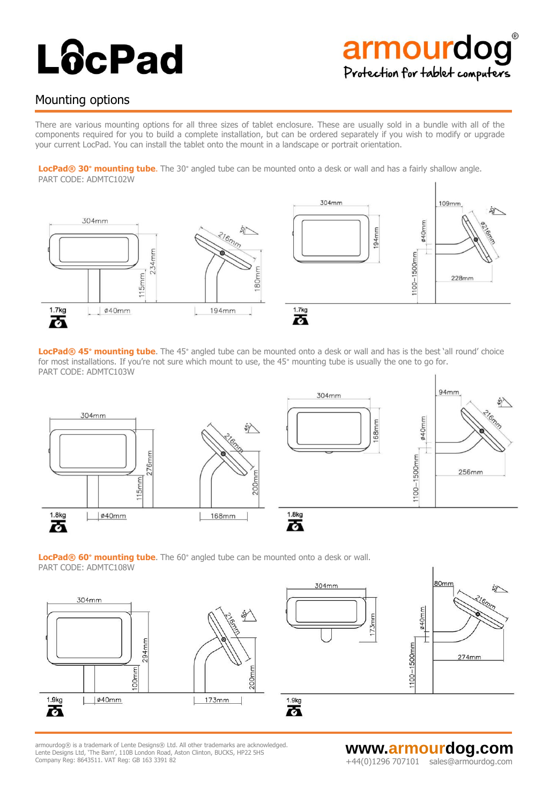# armourdog Protection for tablet computers

## Mounting options

There are various mounting options for all three sizes of tablet enclosure. These are usually sold in a bundle with all of the components required for you to build a complete installation, but can be ordered separately if you wish to modify or upgrade your current LocPad. You can install the tablet onto the mount in a landscape or portrait orientation.

**LocPad® 30° mounting tube**. The 30° angled tube can be mounted onto a desk or wall and has a fairly shallow angle. PART CODE: ADMTC102W



**LocPad® 45° mounting tube**. The 45° angled tube can be mounted onto a desk or wall and has is the best 'all round' choice for most installations. If you're not sure which mount to use, the 45° mounting tube is usually the one to go for. PART CODE: ADMTC103W







armourdog® is a trademark of Lente Designs® Ltd. All other trademarks are acknowledged.<br>Lente Designs Ltd, 'The Barn', 110B London Road, Aston Clinton, BUCKS, HP22 5HS armourdog® is a trademark of Lente Designs® Ltd. All other trademarks are acknowledged.<br>Lente Designs Ltd, 'The Barn', 110B London Road, Aston Clinton, BUCKS, HP22 5HS **www.armord.com WWW.armOUrdog.COM** Company Reg: 8643511. VAT Reg: GB 163 3391 82  $+44(0)1296$   $707101$  sales@armourdog.com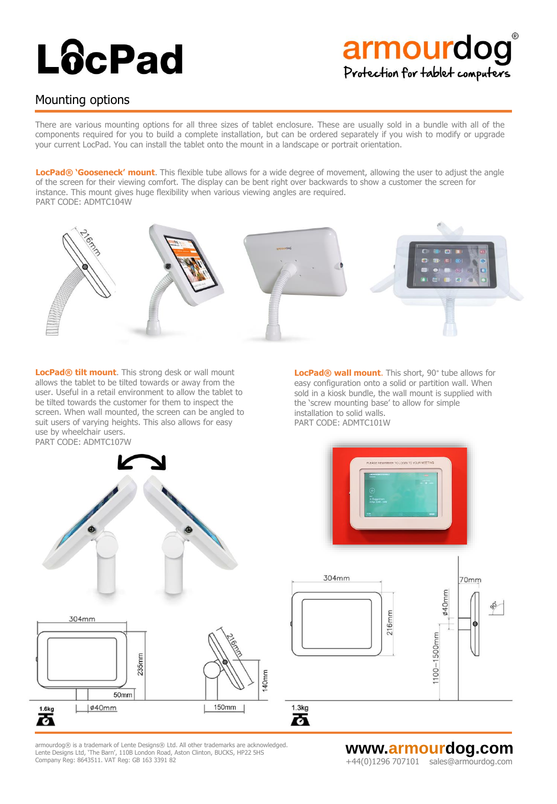# armourdog Protection for tablet computers

## Mounting options

There are various mounting options for all three sizes of tablet enclosure. These are usually sold in a bundle with all of the components required for you to build a complete installation, but can be ordered separately if you wish to modify or upgrade your current LocPad. You can install the tablet onto the mount in a landscape or portrait orientation.

**LocPad® 'Gooseneck' mount**. This flexible tube allows for a wide degree of movement, allowing the user to adjust the angle of the screen for their viewing comfort. The display can be bent right over backwards to show a customer the screen for instance. This mount gives huge flexibility when various viewing angles are required. PART CODE: ADMTC104W



**LocPad® tilt mount**. This strong desk or wall mount allows the tablet to be tilted towards or away from the user. Useful in a retail environment to allow the tablet to be tilted towards the customer for them to inspect the screen. When wall mounted, the screen can be angled to suit users of varying heights. This also allows for easy use by wheelchair users. PART CODE: ADMTC107W

**LocPad® wall mount**. This short, 90° tube allows for easy configuration onto a solid or partition wall. When sold in a kiosk bundle, the wall mount is supplied with the 'screw mounting base' to allow for simple installation to solid walls. PART CODE: ADMTC101W







 $1.3kg$ 

丙



armourdog® is a trademark of Lente Designs® Ltd. All other trademarks are acknowledged. Lente Designs Ltd, 'The Barn', 110B London Road, Aston Clinton, BUCKS, HP22 5HS<br>Company Reg: 8643511. VAT Reg: GB 163 3391 82

**WWW.armourdog.com**<br>+44(0)1296 707101 sales@armourdog.com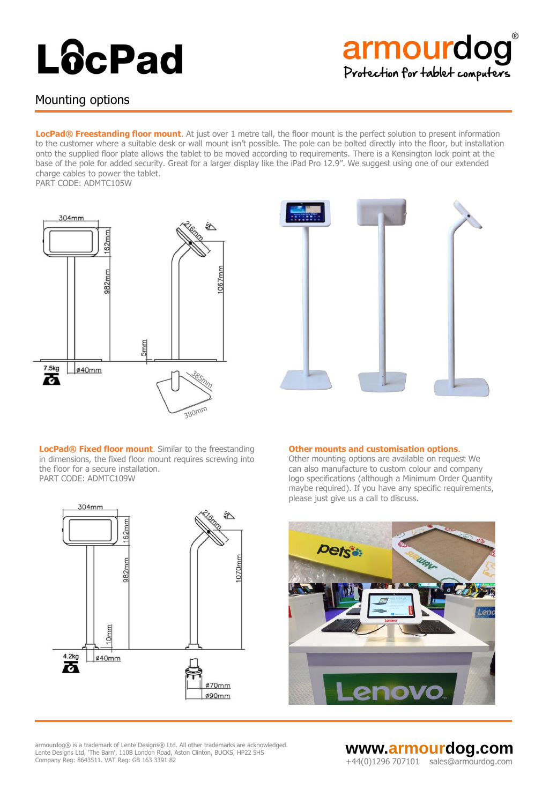# armourdog Protection for tablet computers

## Mounting options

**LocPad® Freestanding floor mount**. At just over 1 metre tall, the floor mount is the perfect solution to present information to the customer where a suitable desk or wall mount isn't possible. The pole can be bolted directly into the floor, but installation onto the supplied floor plate allows the tablet to be moved according to requirements. There is a Kensington lock point at the base of the pole for added security. Great for a larger display like the iPad Pro 12.9". We suggest using one of our extended charge cables to power the tablet.

PART CODE: ADMTC105W





**LocPad® Fixed floor mount**. Similar to the freestanding in dimensions, the fixed floor mount requires screwing into the floor for a secure installation. PART CODE: ADMTC109W



Other mounting options are available on request We can also manufacture to custom colour and company logo specifications (although a Minimum Order Quantity maybe required). If you have any specific requirements, please just give us a call to discuss.





armourdog® is a trademark of Lente Designs® Ltd. All other trademarks are acknowledged.<br>Lente Designs Ltd, 'The Barn', 110B London Road, Aston Clinton, BUCKS, HP22 5HS armourdog® is a trademark of Lente Designs® Ltd. All other trademarks are acknowledged.<br>Lente Designs Ltd, 'The Barn', 110B London Road, Aston Clinton, BUCKS, HP22 5HS **www.armord.com WWW.armOUrdog.COM** Company Reg: 8643511. VAT Reg: GB 163 3391 82  $+44(0)1296$   $707101$  sales@armourdog.com